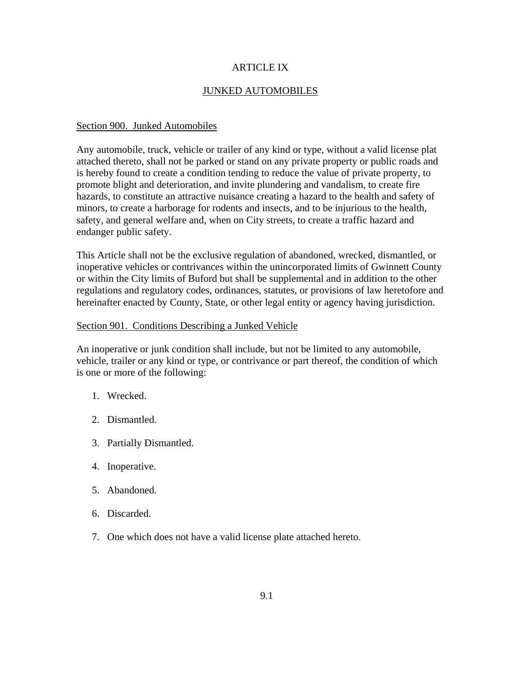## ARTICLE IX

## JUNKED AUTOMOBILES

## Section 900. Junked Automobiles

Any automobile, truck, vehicle or trailer of any kind or type, without a valid license plat attached thereto, shall not be parked or stand on any private property or public roads and is hereby found to create a condition tending to reduce the value of private property, to promote blight and deterioration, and invite plundering and vandalism, to create fire hazards, to constitute an attractive nuisance creating a hazard to the health and safety of minors, to create a harborage for rodents and insects, and to be injurious to the health, safety, and general welfare and, when on City streets, to create a traffic hazard and endanger public safety.

This Article shall not be the exclusive regulation of abandoned, wrecked, dismantled, or inoperative vehicles or contrivances within the unincorporated limits of Gwinnett County or within the City limits of Buford but shall be supplemental and in addition to the other regulations and regulatory codes, ordinances, statutes, or provisions of law heretofore and hereinafter enacted by County, State, or other legal entity or agency having jurisdiction.

## Section 901. Conditions Describing a Junked Vehicle

An inoperative or junk condition shall include, but not be limited to any automobile, vehicle, trailer or any kind or type, or contrivance or part thereof, the condition of which is one or more of the following:

- 1. Wrecked.
- 2. Dismantled.
- 3. Partially Dismantled.
- 4. Inoperative.
- 5. Abandoned.
- 6. Discarded.
- 7. One which does not have a valid license plate attached hereto.